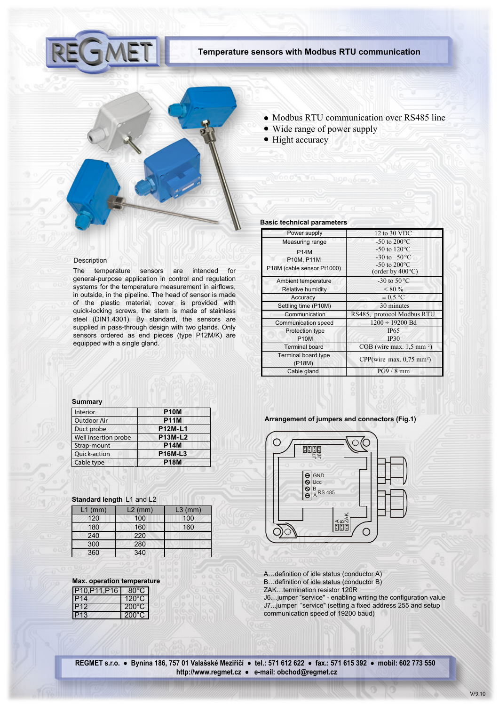

## **Temperature sensors with Modbus RTU communication**



- Modbus RTU communication over RS485 line
- Wide range of power supply
- Hight accuracy

## **Basic technical parameters**

| Power supply                                            | 12 to 30 VDC                                                                                           |
|---------------------------------------------------------|--------------------------------------------------------------------------------------------------------|
| Measuring range                                         | -50 to $200^{\circ}$ C                                                                                 |
| <b>P14M</b><br>P10M, P11M<br>P18M (cable sensor Pt1000) | -50 to $120^{\circ}$ C<br>$-30 \text{ to } 50^{\circ}$ C<br>-50 to $200^{\circ}$ C<br>(order by 400°C) |
| Ambient temperature                                     | -30 to $50^{\circ}$ C                                                                                  |
| Relative humidity                                       | $< 80 \%$                                                                                              |
| Accuracy                                                | $\pm$ 0.5 °C                                                                                           |
| Settling time (P10M)                                    | 30 minutes                                                                                             |
| Communication                                           | RS485, protocol Modbus RTU                                                                             |
| <b>Communication speed</b>                              | $1200 \div 19200$ Bd                                                                                   |
| Protection type<br><b>P10M</b>                          | IP65<br>IP30                                                                                           |
| <b>Terminal board</b>                                   | $COB$ (wire max. 1,5 mm <sup>2</sup> )                                                                 |
| <b>Terminal board type</b><br>(P18M)                    | CPP(wire max. 0.75 mm <sup>2</sup> )                                                                   |
| Cable gland                                             | $PG9/8$ mm                                                                                             |

# Description

The temperature sensors are intended for general-purpose application in control and regulation systems for the temperature measurement in airflows, in outside, in the pipeline. The head of sensor is made of the plastic material, cover is provided with quick-locking screws, the stem is made of stainless steel (DIN1.4301). By standard, the sensors are supplied in pass-through design with two glands. Only sensors ordered as end pieces (type P12M/K) are equipped with a single gland.

### **Summary**

| <b>Interior</b>      | <b>P10M</b>    |
|----------------------|----------------|
| <b>Outdoor Air</b>   | <b>P11M</b>    |
| Duct probe           | <b>P12M-L1</b> |
| Well insertion probe | P13M-L2        |
| Strap-mount          | <b>P14M</b>    |
| Quick-action         | <b>P16M-L3</b> |
| Cable type           | <b>P18M</b>    |

# **Standard length** L1 and L2

| $L1$ (mm) | $L2$ (mm) | $L3$ (mm) |
|-----------|-----------|-----------|
| 120       | 100       | 100       |
| 180       | 160       | 160       |
| 240       | 220       |           |
| 300       | 280       |           |
| 360       | 340       |           |

| <b>Max. operation temperature</b> |  |  |
|-----------------------------------|--|--|
|                                   |  |  |

| P10, P11, P16   | 80°C            |
|-----------------|-----------------|
| <b>P14</b>      | $120^{\circ}$ C |
| P <sub>12</sub> | $200^{\circ}$ C |
| P <sub>13</sub> | $200^{\circ}$ C |

## **Arrangement of jumpers and connectors (Fig.1)**



A…definition of idle status (conductor A) B…definition of idle status (conductor B)

ZAK…termination resistor 120R

J6…jumper "service" - enabling writing the configuration value J7...jumper "service" (setting a fixed address 255 and setup communication speed of 19200 baud)

**REGMET s.r.o. ● Bynina 186, 757 01 Valašské Meziříčí ● tel.: 571 612 622 ● fax.: 571 615 392 ● mobil: 602 773 550 http://www.regmet.cz ● e-mail: obchod@regmet.cz**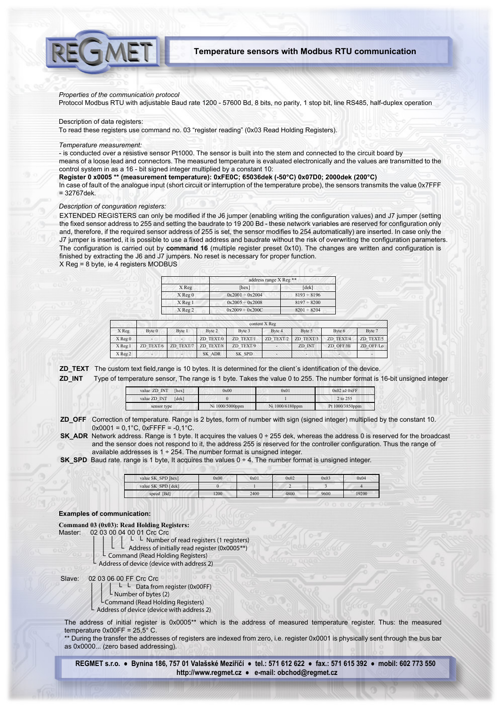

# **Temperature sensors with Modbus RTU communication**

#### *Properties of the communication protocol*

Protocol Modbus RTU with adjustable Baud rate 1200 - 57600 Bd, 8 bits, no parity, 1 stop bit, line RS485, half-duplex operation

### Description of data registers:

To read these registers use command no. 03 "register reading" (0x03 Read Holding Registers).

#### *Temperature measurement:*

- is conducted over a resistive sensor Pt1000. The sensor is built into the stem and connected to the circuit board by

means of a loose lead and connectors. The measured temperature is evaluated electronically and the values are transmitted to the control system in as a 16 - bit signed integer multiplied by a constant 10:

**Register 0 x0005 \*\* (measurement temperature): 0xFE0C; 65036dek (-50°C) 0x07D0; 2000dek (200°C)**

In case of fault of the analogue input (short circuit or interruption of the temperature probe), the sensors transmits the value 0x7FFF = 32767dek.

### *Description of conguration registers:*

EXTENDED REGISTERS can only be modified if the J6 jumper (enabling writing the configuration values) and J7 jumper (setting the fixed sensor address to 255 and setting the baudrate to 19 200 Bd - these network variables are reserved for configuration only and, therefore, if the required sensor address of 255 is set, the sensor modifies to 254 automatically) are inserted. In case only the J7 jumper is inserted, it is possible to use a fixed address and baudrate without the risk of overwriting the configuration parameters. The configuration is carried out by **command 16** (multiple register preset 0x10). The changes are written and configuration is finished by extracting the J6 and J7 jumpers. No reset is necessary for proper function.

X Reg = 8 byte, ie 4 registers MODBUS

|             | address range X Reg <sup>**</sup> |                  |  |
|-------------|-----------------------------------|------------------|--|
| X Reg       | [hex]                             | [dek]            |  |
| $X$ Reg $0$ | $0x2001 \div 0x2004$              | $8193 \div 8196$ |  |
| $X$ Reg 1   | $0x2005 \div 0x2008$              | $8197 \div 8200$ |  |
| $X$ Reg 2   | $0x2009 \div 0x200C$              | $8201 \div 8204$ |  |

|             | content X Reg |           |           |           |           |           |           |           |
|-------------|---------------|-----------|-----------|-----------|-----------|-----------|-----------|-----------|
| X Reg       | Byte 0        | Byte 1    | Byte 2    | Byte 3    | Byte 4    | Byte 5    | Byte 6    | Byte 7    |
| $X$ Reg $0$ |               |           | ZD TEXT/0 | ZD TEXT/1 | ZD TEXT/2 | ZD TEXT/3 | ZD TEXT/4 | ZD TEXT/5 |
| X Reg 1     | ZD TEXT/6     | ZD TEXT/7 | ZD TEXT/8 | ZD TEXT/9 |           | ZD INT    | ZD OFF/Hi | ZD OFF/Lo |
| X Reg 2     |               |           | SK ADR    | SK SPD    |           |           |           |           |

**ZD\_TEXT** The custom text field,range is 10 bytes. It is determined for the client´s identification of the device.

**ZD\_INT** Type of temperature sensor, The range is 1 byte. Takes the value 0 to 255. The number format is 16-bit unsigned integer

| value ZD INT<br>[hex] | 0x00            | 0x01            | $0x02a\check{z}0xFF$ |
|-----------------------|-----------------|-----------------|----------------------|
| value ZD INT<br>[dek] |                 |                 | 2 to 255             |
| sensor type           | Ni 1000/5000ppm | Ni 1000/6180ppm | Pt 1000/3850ppm      |

**ZD\_OFF** Correction of temperature. Range is 2 bytes, form of number with sign (signed integer) multiplied by the constant 10.  $0x0001 = 0.1^{\circ}$ C,  $0x$ FFFF =  $-0.1^{\circ}$ C.

**SK\_ADR** Network address. Range is 1 byte. It acquires the values 0 ÷ 255 dek, whereas the address 0 is reserved for the broadcast and the sensor does not respond to it, the address 255 is reserved for the controller configuration. Thus the range of available addresses is  $1 \div 254$ . The number format is unsigned integer.

**SK\_SPD** Baud rate. range is 1 byte, It acquires the values 0 ÷ 4. The number format is unsigned integer.

| value SK SPD [hex] | 0x00 | 0x01 | 0x02 | 0x03 | 0x04  |
|--------------------|------|------|------|------|-------|
| value SK SPD [dek] |      |      |      |      |       |
| speed [Bd]         | 1200 | 2400 | 4800 | 9600 | 19200 |

### **Examples of communication:**

**Command 03 (0x03): Read Holding Registers:**

ľ

Master: 02 03 00 04 00 01 Crc Crc

│ │ │ │ │ └ Number of read registers (1 registers)

- L Address of initially read register (0x0005\*\*)
- Command (Read Holding Registers)
	- └ Address of device (device with address 2)

Slave: 02 03 06 00 FF Crc Crc

│ │ │ └ └ Data from register (0x00FF)

- L Number of bytes (2) │ └Command (Read Holding Registers)
- Address of device (device with address 2)

The address of initial register is 0x0005\*\* which is the address of measured temperature register. Thus: the measured temperature  $0x00FF = 25.5^{\circ}$  C.

\*\* During the transfer the addresses of registers are indexed from zero, i.e. register 0x0001 is physically sent through the bus bar as 0x0000... (zero based addressing).

**REGMET s.r.o. ● Bynina 186, 757 01 Valašské Meziříčí ● tel.: 571 612 622 ● fax.: 571 615 392 ● mobil: 602 773 550 http://www.regmet.cz ● e-mail: obchod@regmet.cz**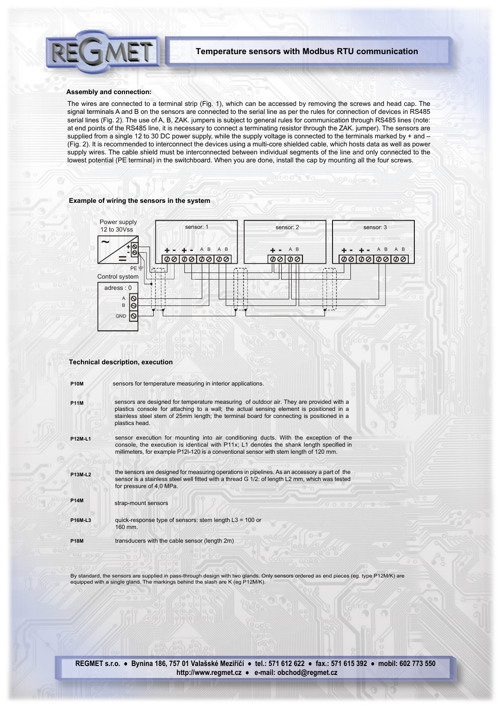

### **Assembly and connection:**

The wires are connected to a terminal strip (Fig. 1), which can be accessed by removing the screws and head cap. The signal terminals A and B on the sensors are connected to the serial line as per the rules for connection of devices in RS485 serial lines (Fig. 2). The use of A, B, ZAK. jumpers is subject to general rules for communication through RS485 lines (note: at end points of the RS485 line, it is necessary to connect a terminating resistor through the ZAK. jumper). The sensors are supplied from a single 12 to 30 DC power supply, while the supply voltage is connected to the terminals marked by + and – (Fig. 2). It is recommended to interconnect the devices using a multi-core shielded cable, which hosts data as well as power supply wires. The cable shield must be interconnected between individual segments of the line and only connected to the lowest potential (PE terminal) in the switchboard. When you are done, install the cap by mounting all the four screws.

## **Example of wiring the sensors in the system**



## **Technical description, execution**

| <b>P10M</b>    | sensors for temperature measuring in interior applications.                                                                                                                                                                                                                                       |
|----------------|---------------------------------------------------------------------------------------------------------------------------------------------------------------------------------------------------------------------------------------------------------------------------------------------------|
| <b>P11M</b>    | sensors are designed for temperature measuring of outdoor air. They are provided with a<br>plastics console for attaching to a wall; the actual sensing element is positioned in a<br>stainless steel stem of 25mm length; the terminal board for connecting is positioned in a<br>plastics head. |
| <b>P12M-L1</b> | sensor execution for mounting into air conditioning ducts. With the exception of the<br>console, the execution is identical with P11x; L1 denotes the shank length specified in<br>millimeters, for example P12I-120 is a conventional sensor with stem length of 120 mm.                         |
| <b>P13M-L2</b> | the sensors are designed for measuring operations in pipelines. As an accessory a part of the<br>sensor is a stainless steel well fitted with a thread G 1/2: of length L2 mm, which was tested<br>for pressure of 4,0 MPa.                                                                       |
| <b>P14M</b>    | strap-mount sensors                                                                                                                                                                                                                                                                               |
| <b>P16M-L3</b> | quick-response type of sensors: stem length L3 = 100 or<br>160 mm.                                                                                                                                                                                                                                |
| <b>P18M</b>    | transducers with the cable sensor (length 2m)                                                                                                                                                                                                                                                     |

By standard, the sensors are supplied in pass-through design with two glands. Only sensors ordered as end pieces (eg. type P12M/K) are equipped with a single gland. The markings behind the slash are K (eg P12M/K).